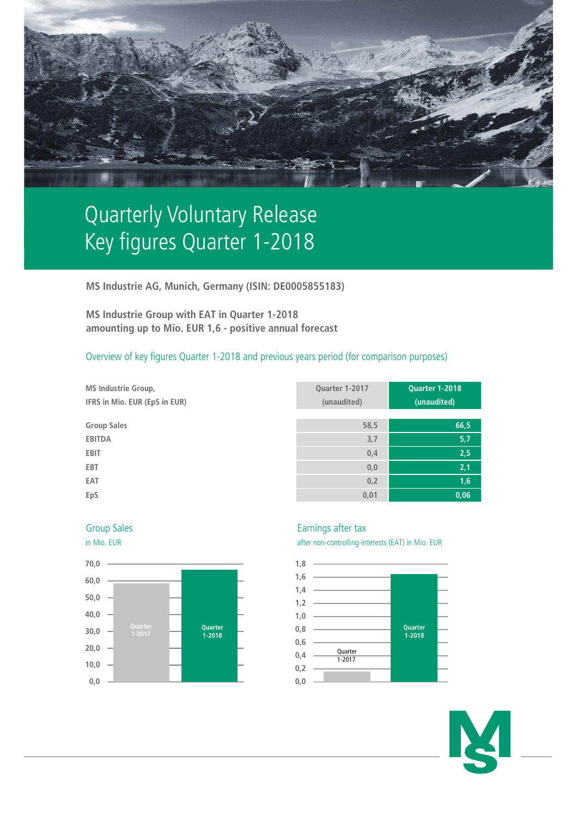

# Quarterly Voluntary Release Key figures Quarter 1-2018

**MS Industrie AG, Munich, Germany (ISIN: DE0005855183)**

**MS Industrie Group with EAT in Quarter 1-2018 amounting up to Mio. EUR 1,6 - positive annual forecast**

# Overview of key figures Quarter 1-2018 and previous years period (for comparison purposes)

- **MS Industrie Group, IFRS in Mio. EUR (EpS in EUR)**
- $Group Sales$

| MS Industrie Group,           | Quarter 1-2017 | <b>Quarter 1-2018</b> |
|-------------------------------|----------------|-----------------------|
| IFRS in Mio. EUR (EpS in EUR) | (unaudited)    | (unaudited)           |
|                               |                |                       |
| <b>Group Sales</b>            | 58,5           | 66,5                  |
| <b>EBITDA</b>                 | 3,7            | 5,7                   |
| <b>EBIT</b>                   | 0,4            | 2,5                   |
| EBT                           | 0,0            | 2,1                   |
| EAT                           | 0,2            | 1,6                   |
| EpS                           | 0,01           | 0,06                  |





## Group Sales **Earnings** after tax

in Mio. EUR after non-controlling-interests (EAT) in Mio. EUR



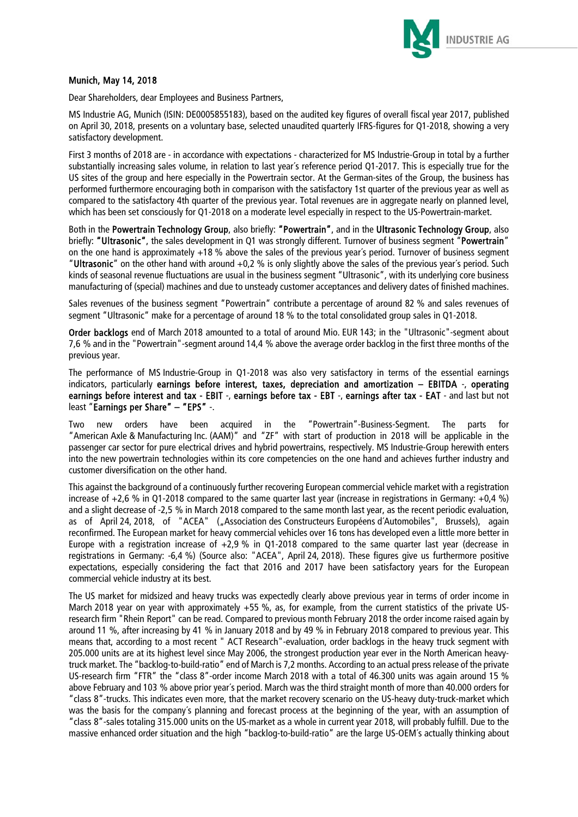

### Munich, May 14, 2018

Dear Shareholders, dear Employees and Business Partners,

MS Industrie AG, Munich (ISIN: DE0005855183), based on the audited key figures of overall fiscal year 2017, published on April 30, 2018, presents on a voluntary base, selected unaudited quarterly IFRS-figures for Q1-2018, showing a very satisfactory development.

First 3 months of 2018 are - in accordance with expectations - characterized for MS Industrie-Group in total by a further substantially increasing sales volume, in relation to last year´s reference period Q1-2017. This is especially true for the US sites of the group and here especially in the Powertrain sector. At the German-sites of the Group, the business has performed furthermore encouraging both in comparison with the satisfactory 1st quarter of the previous year as well as compared to the satisfactory 4th quarter of the previous year. Total revenues are in aggregate nearly on planned level, which has been set consciously for Q1-2018 on a moderate level especially in respect to the US-Powertrain-market.

Both in the Powertrain Technology Group, also briefly: "Powertrain", and in the Ultrasonic Technology Group, also briefly: "Ultrasonic", the sales development in Q1 was strongly different. Turnover of business segment "Powertrain" on the one hand is approximately +18 % above the sales of the previous year´s period. Turnover of business segment "Ultrasonic" on the other hand with around +0,2 % is only slightly above the sales of the previous year´s period. Such kinds of seasonal revenue fluctuations are usual in the business segment "Ultrasonic", with its underlying core business manufacturing of (special) machines and due to unsteady customer acceptances and delivery dates of finished machines.

Sales revenues of the business segment "Powertrain" contribute a percentage of around 82 % and sales revenues of segment "Ultrasonic" make for a percentage of around 18 % to the total consolidated group sales in Q1-2018.

Order backlogs end of March 2018 amounted to a total of around Mio. EUR 143; in the "Ultrasonic"-segment about 7,6 % and in the "Powertrain"-segment around 14,4 % above the average order backlog in the first three months of the previous year.

The performance of MS Industrie-Group in Q1-2018 was also very satisfactory in terms of the essential earnings indicators, particularly earnings before interest, taxes, depreciation and amortization – EBITDA -, operating earnings before interest and tax - EBIT -, earnings before tax - EBT -, earnings after tax - EAT - and last but not least "Earnings per Share" – "EPS" -.

Two new orders have been acquired in the "Powertrain"-Business-Segment. The parts for "American Axle & Manufacturing Inc. (AAM)" and "ZF" with start of production in 2018 will be applicable in the passenger car sector for pure electrical drives and hybrid powertrains, respectively. MS Industrie-Group herewith enters into the new powertrain technologies within its core competencies on the one hand and achieves further industry and customer diversification on the other hand.

This against the background of a continuously further recovering European commercial vehicle market with a registration increase of  $+2.6$  % in Q1-2018 compared to the same quarter last year (increase in registrations in Germany:  $+0.4$  %) and a slight decrease of -2,5 % in March 2018 compared to the same month last year, as the recent periodic evaluation, as of April 24, 2018, of "ACEA" ("Association des Constructeurs Européens d'Automobiles", Brussels), again reconfirmed. The European market for heavy commercial vehicles over 16 tons has developed even a little more better in Europe with a registration increase of  $+2.9\%$  in Q1-2018 compared to the same quarter last year (decrease in registrations in Germany: -6,4 %) (Source also: "ACEA", April 24, 2018). These figures give us furthermore positive expectations, especially considering the fact that 2016 and 2017 have been satisfactory years for the European commercial vehicle industry at its best.

The US market for midsized and heavy trucks was expectedly clearly above previous year in terms of order income in March 2018 year on year with approximately +55 %, as, for example, from the current statistics of the private USresearch firm "Rhein Report" can be read. Compared to previous month February 2018 the order income raised again by around 11 %, after increasing by 41 % in January 2018 and by 49 % in February 2018 compared to previous year. This means that, according to a most recent " ACT Research"-evaluation, order backlogs in the heavy truck segment with 205.000 units are at its highest level since May 2006, the strongest production year ever in the North American heavytruck market. The "backlog-to-build-ratio" end of March is 7,2 months. According to an actual press release of the private US-research firm "FTR" the "class 8"-order income March 2018 with a total of 46.300 units was again around 15 % above February and 103 % above prior year´s period. March was the third straight month of more than 40.000 orders for "class 8"-trucks. This indicates even more, that the market recovery scenario on the US-heavy duty-truck-market which was the basis for the company´s planning and forecast process at the beginning of the year, with an assumption of "class 8"-sales totaling 315.000 units on the US-market as a whole in current year 2018, will probably fulfill. Due to the massive enhanced order situation and the high "backlog-to-build-ratio" are the large US-OEM´s actually thinking about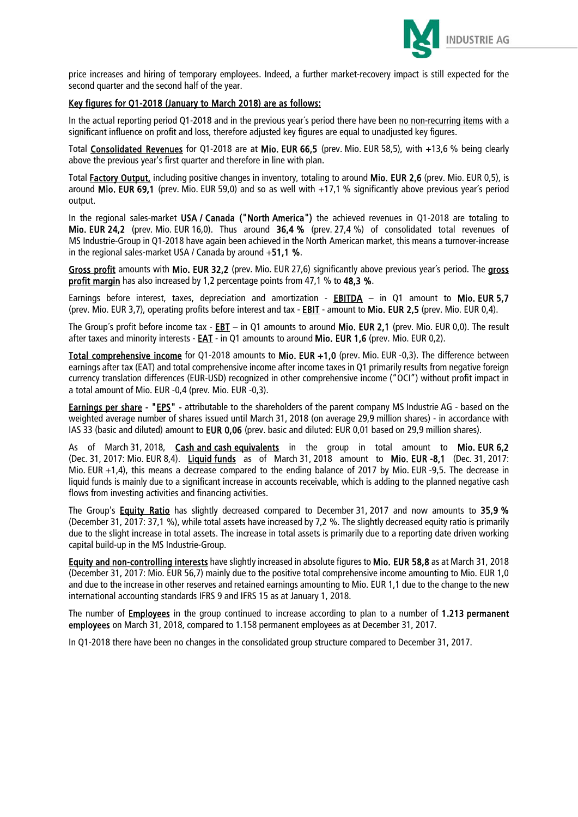

price increases and hiring of temporary employees. Indeed, a further market-recovery impact is still expected for the second quarter and the second half of the year.

### Key figures for Q1-2018 (January to March 2018) are as follows:

In the actual reporting period Q1-2018 and in the previous year´s period there have been no non-recurring items with a significant influence on profit and loss, therefore adjusted key figures are equal to unadjusted key figures.

Total Consolidated Revenues for Q1-2018 are at Mio. EUR 66,5 (prev. Mio. EUR 58,5), with +13,6 % being clearly above the previous year's first quarter and therefore in line with plan.

Total Factory Output, including positive changes in inventory, totaling to around Mio. EUR 2,6 (prev. Mio. EUR 0,5), is around Mio. EUR 69,1 (prev. Mio. EUR 59,0) and so as well with  $+17,1$  % significantly above previous year's period output.

In the regional sales-market USA / Canada ("North America") the achieved revenues in Q1-2018 are totaling to Mio. EUR 24,2 (prev. Mio. EUR 16,0). Thus around 36,4 % (prev. 27,4 %) of consolidated total revenues of MS Industrie-Group in Q1-2018 have again been achieved in the North American market, this means a turnover-increase in the regional sales-market USA / Canada by around  $+51.1$  %.

Gross profit amounts with Mio. EUR 32,2 (prev. Mio. EUR 27,6) significantly above previous year's period. The gross profit margin has also increased by 1,2 percentage points from 47,1 % to 48,3 %.

Earnings before interest, taxes, depreciation and amortization - EBITDA – in Q1 amount to Mio. EUR 5,7 (prev. Mio. EUR 3,7), operating profits before interest and tax - **EBIT** - amount to Mio. EUR 2,5 (prev. Mio. EUR 0,4).

The Group´s profit before income tax - EBT – in Q1 amounts to around Mio. EUR 2,1 (prev. Mio. EUR 0,0). The result after taxes and minority interests - EAT - in Q1 amounts to around Mio. EUR 1,6 (prev. Mio. EUR 0,2).

Total comprehensive income for Q1-2018 amounts to Mio. EUR +1,0 (prev. Mio. EUR -0,3). The difference between earnings after tax (EAT) and total comprehensive income after income taxes in Q1 primarily results from negative foreign currency translation differences (EUR-USD) recognized in other comprehensive income ("OCI") without profit impact in a total amount of Mio. EUR -0,4 (prev. Mio. EUR -0,3).

Earnings per share - "EPS" - attributable to the shareholders of the parent company MS Industrie AG - based on the weighted average number of shares issued until March 31, 2018 (on average 29,9 million shares) - in accordance with IAS 33 (basic and diluted) amount to EUR 0,06 (prev. basic and diluted: EUR 0,01 based on 29,9 million shares).

As of March 31, 2018, Cash and cash equivalents in the group in total amount to Mio. EUR 6,2 (Dec. 31, 2017: Mio. EUR 8,4). Liquid funds as of March 31, 2018 amount to Mio. EUR -8,1 (Dec. 31, 2017: Mio. EUR +1,4), this means a decrease compared to the ending balance of 2017 by Mio. EUR -9,5. The decrease in liquid funds is mainly due to a significant increase in accounts receivable, which is adding to the planned negative cash flows from investing activities and financing activities.

The Group's **Equity Ratio** has slightly decreased compared to December 31, 2017 and now amounts to 35,9 % (December 31, 2017: 37,1 %), while total assets have increased by 7,2 %. The slightly decreased equity ratio is primarily due to the slight increase in total assets. The increase in total assets is primarily due to a reporting date driven working capital build-up in the MS Industrie-Group.

Equity and non-controlling interests have slightly increased in absolute figures to Mio. EUR 58,8 as at March 31, 2018 (December 31, 2017: Mio. EUR 56,7) mainly due to the positive total comprehensive income amounting to Mio. EUR 1,0 and due to the increase in other reserves and retained earnings amounting to Mio. EUR 1,1 due to the change to the new international accounting standards IFRS 9 and IFRS 15 as at January 1, 2018.

The number of **Employees** in the group continued to increase according to plan to a number of 1.213 permanent employees on March 31, 2018, compared to 1.158 permanent employees as at December 31, 2017.

In Q1-2018 there have been no changes in the consolidated group structure compared to December 31, 2017.